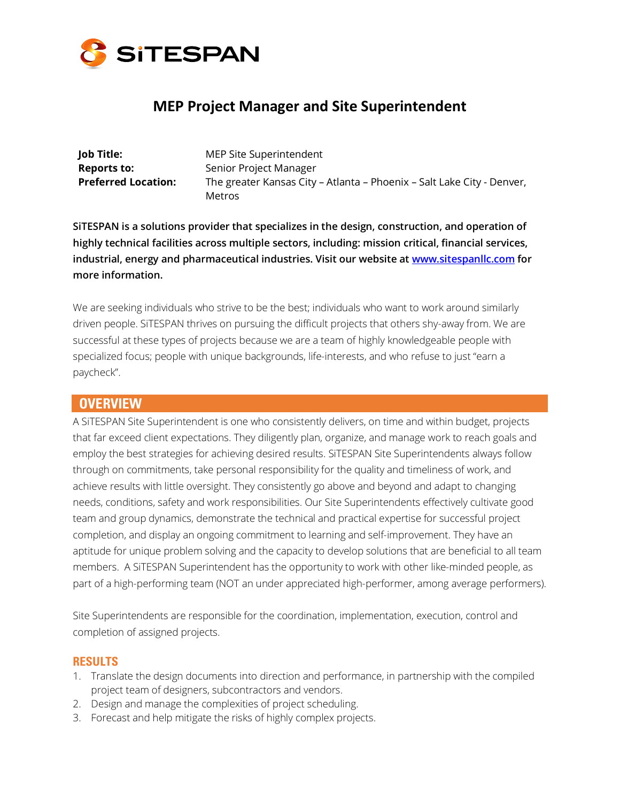

# **MEP Project Manager and Site Superintendent**

**Job Title:** MEP Site Superintendent **Reports to:** Senior Project Manager

**Preferred Location:** The greater Kansas City – Atlanta – Phoenix – Salt Lake City - Denver, Metros

**SiTESPAN is a solutions provider that specializes in the design, construction, and operation of highly technical facilities across multiple sectors, including: mission critical, financial services, industrial, energy and pharmaceutical industries. Visit our website at www.sitespanllc.com for more information.**

We are seeking individuals who strive to be the best; individuals who want to work around similarly driven people. SiTESPAN thrives on pursuing the difficult projects that others shy-away from. We are successful at these types of projects because we are a team of highly knowledgeable people with specialized focus; people with unique backgrounds, life-interests, and who refuse to just "earn a paycheck".

#### **OVERVIEW**

A SiTESPAN Site Superintendent is one who consistently delivers, on time and within budget, projects that far exceed client expectations. They diligently plan, organize, and manage work to reach goals and employ the best strategies for achieving desired results. SiTESPAN Site Superintendents always follow through on commitments, take personal responsibility for the quality and timeliness of work, and achieve results with little oversight. They consistently go above and beyond and adapt to changing needs, conditions, safety and work responsibilities. Our Site Superintendents effectively cultivate good team and group dynamics, demonstrate the technical and practical expertise for successful project completion, and display an ongoing commitment to learning and self-improvement. They have an aptitude for unique problem solving and the capacity to develop solutions that are beneficial to all team members. A SiTESPAN Superintendent has the opportunity to work with other like-minded people, as part of a high-performing team (NOT an under appreciated high-performer, among average performers).

Site Superintendents are responsible for the coordination, implementation, execution, control and completion of assigned projects.

#### **RESULTS**

- 1. Translate the design documents into direction and performance, in partnership with the compiled project team of designers, subcontractors and vendors.
- 2. Design and manage the complexities of project scheduling.
- 3. Forecast and help mitigate the risks of highly complex projects.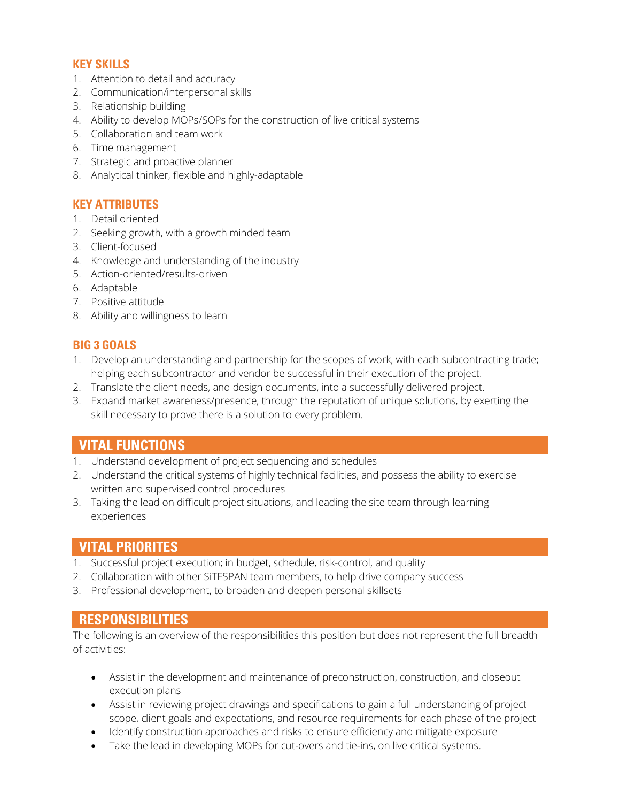#### **KEY SKILLS**

- 1. Attention to detail and accuracy
- 2. Communication/interpersonal skills
- 3. Relationship building
- 4. Ability to develop MOPs/SOPs for the construction of live critical systems
- 5. Collaboration and team work
- 6. Time management
- 7. Strategic and proactive planner
- 8. Analytical thinker, flexible and highly-adaptable

#### **KEY ATTRIBUTES**

- 1. Detail oriented
- 2. Seeking growth, with a growth minded team
- 3. Client-focused
- 4. Knowledge and understanding of the industry
- 5. Action-oriented/results-driven
- 6. Adaptable
- 7. Positive attitude
- 8. Ability and willingness to learn

#### **BIG 3 GOALS**

- 1. Develop an understanding and partnership for the scopes of work, with each subcontracting trade; helping each subcontractor and vendor be successful in their execution of the project.
- 2. Translate the client needs, and design documents, into a successfully delivered project.
- 3. Expand market awareness/presence, through the reputation of unique solutions, by exerting the skill necessary to prove there is a solution to every problem.

### **VITAL FUNCTIONS**

- 1. Understand development of project sequencing and schedules
- 2. Understand the critical systems of highly technical facilities, and possess the ability to exercise written and supervised control procedures
- 3. Taking the lead on difficult project situations, and leading the site team through learning experiences

### **VITAL PRIORITES**

- 1. Successful project execution; in budget, schedule, risk-control, and quality
- 2. Collaboration with other SiTESPAN team members, to help drive company success
- 3. Professional development, to broaden and deepen personal skillsets

### **RESPONSIBILITIES**

The following is an overview of the responsibilities this position but does not represent the full breadth of activities:

- Assist in the development and maintenance of preconstruction, construction, and closeout execution plans
- Assist in reviewing project drawings and specifications to gain a full understanding of project scope, client goals and expectations, and resource requirements for each phase of the project
- Identify construction approaches and risks to ensure efficiency and mitigate exposure
- Take the lead in developing MOPs for cut-overs and tie-ins, on live critical systems.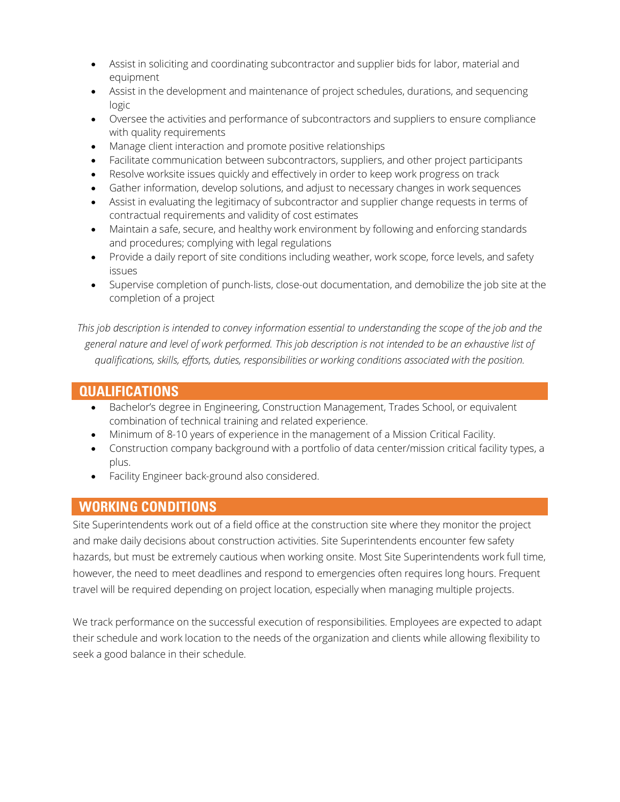- Assist in soliciting and coordinating subcontractor and supplier bids for labor, material and equipment
- Assist in the development and maintenance of project schedules, durations, and sequencing logic
- Oversee the activities and performance of subcontractors and suppliers to ensure compliance with quality requirements
- Manage client interaction and promote positive relationships
- Facilitate communication between subcontractors, suppliers, and other project participants
- Resolve worksite issues quickly and effectively in order to keep work progress on track
- Gather information, develop solutions, and adjust to necessary changes in work sequences
- Assist in evaluating the legitimacy of subcontractor and supplier change requests in terms of contractual requirements and validity of cost estimates
- Maintain a safe, secure, and healthy work environment by following and enforcing standards and procedures; complying with legal regulations
- Provide a daily report of site conditions including weather, work scope, force levels, and safety issues
- Supervise completion of punch-lists, close-out documentation, and demobilize the job site at the completion of a project

*This job description is intended to convey information essential to understanding the scope of the job and the general nature and level of work performed. This job description is not intended to be an exhaustive list of qualifications, skills, efforts, duties, responsibilities or working conditions associated with the position.*

## **QUALIFICATIONS**

- Bachelor's degree in Engineering, Construction Management, Trades School, or equivalent combination of technical training and related experience.
- Minimum of 8-10 years of experience in the management of a Mission Critical Facility.
- Construction company background with a portfolio of data center/mission critical facility types, a plus.
- Facility Engineer back-ground also considered.

## **WORKING CONDITIONS**

Site Superintendents work out of a field office at the construction site where they monitor the project and make daily decisions about construction activities. Site Superintendents encounter few safety hazards, but must be extremely cautious when working onsite. Most Site Superintendents work full time, however, the need to meet deadlines and respond to emergencies often requires long hours. Frequent travel will be required depending on project location, especially when managing multiple projects.

We track performance on the successful execution of responsibilities. Employees are expected to adapt their schedule and work location to the needs of the organization and clients while allowing flexibility to seek a good balance in their schedule.